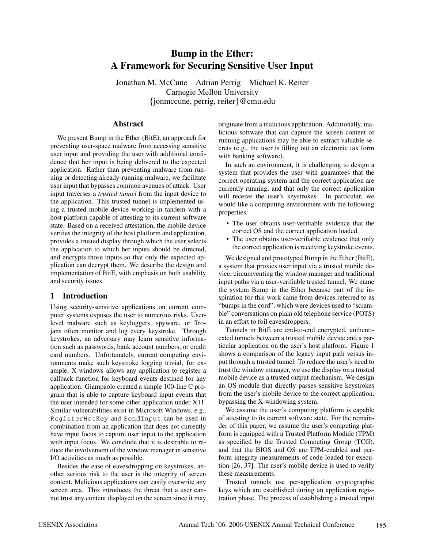# **Bump in the Ether: A Framework for Securing Sensitive User Input**

Jonathan M. McCune Adrian Perrig Michael K. Reiter Carnegie Mellon University {jonmccune, perrig, reiter}@cmu.edu

#### **Abstract**

We present Bump in the Ether (BitE), an approach for preventing user-space malware from accessing sensitive user input and providing the user with additional confidence that her input is being delivered to the expected application. Rather than preventing malware from running or detecting already-running malware, we facilitate user input that bypasses common avenues of attack. User input traverses a *trusted tunnel* from the input device to the application. This trusted tunnel is implemented using a trusted mobile device working in tandem with a host platform capable of attesting to its current software state. Based on a received attestation, the mobile device verifies the integrity of the host platform and application, provides a trusted display through which the user selects the application to which her inputs should be directed, and encrypts those inputs so that only the expected application can decrypt them. We describe the design and implementation of BitE, with emphasis on both usability and security issues.

### **1 Introduction**

Using security-sensitive applications on current computer systems exposes the user to numerous risks. Userlevel malware such as keyloggers, spyware, or Trojans often monitor and log every keystroke. Through keystrokes, an adversary may learn sensitive information such as passwords, bank account numbers, or credit card numbers. Unfortunately, current computing environments make such keystroke logging trivial; for example, X-windows allows any application to register a callback function for keyboard events destined for any application. Giampaolo created a simple 100-line C program that is able to capture keyboard input events that the user intended for some other application under X11. Similar vulnerabilities exist in Microsoft Windows, e.g., RegisterHotKey and SendInput can be used in combination from an application that does not currently have input focus to capture user input to the application with input focus. We conclude that it is desirable to reduce the involvement of the window manager in sensitive I/O activities as much as possible.

Besides the ease of eavesdropping on keystrokes, another serious risk to the user is the integrity of screen content. Malicious applications can easily overwrite any screen area. This introduces the threat that a user cannot trust any content displayed on the screen since it may

originate from a malicious application. Additionally, malicious software that can capture the screen content of running applications may be able to extract valuable secrets (e.g., the user is filling out an electronic tax form with banking software).

In such an environment, it is challenging to design a system that provides the user with guarantees that the correct operating system and the correct application are currently running, and that only the correct application will receive the user's keystrokes. In particular, we would like a computing environment with the following properties:

- The user obtains user-verifiable evidence that the correct OS and the correct application loaded.
- The user obtains user-verifiable evidence that only the correct application is receiving keystroke events.

We designed and prototyped Bump in the Ether (BitE), a system that proxies user input via a trusted mobile device, circumventing the window manager and traditional input paths via a user-verifiable trusted tunnel. We name the system Bump in the Ether because part of the inspiration for this work came from devices referred to as "bumps in the cord", which were devices used to "scramble" conversations on plain old telephone service (POTS) in an effort to foil eavesdroppers.

Tunnels in BitE are end-to-end encrypted, authenticated tunnels between a trusted mobile device and a particular application on the user's host platform. Figure 1 shows a comparison of the legacy input path versus input through a trusted tunnel. To reduce the user's need to trust the window manager, we use the display on a trusted mobile device as a trusted output mechanism. We design an OS module that directly passes sensitive keystrokes from the user's mobile device to the correct application, bypassing the X-windowing system.

We assume the user's computing platform is capable of attesting to its current software state. For the remainder of this paper, we assume the user's computing platform is equipped with a Trusted Platform Module (TPM) as specified by the Trusted Computing Group (TCG), and that the BIOS and OS are TPM-enabled and perform integrity measurements of code loaded for execution [26, 37]. The user's mobile device is used to verify these measurements.

Trusted tunnels use per-application cryptographic keys which are established during an application registration phase. The process of establishing a trusted input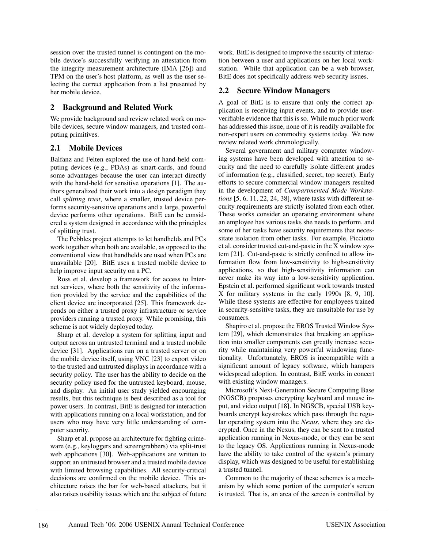session over the trusted tunnel is contingent on the mobile device's successfully verifying an attestation from the integrity measurement architecture (IMA [26]) and TPM on the user's host platform, as well as the user selecting the correct application from a list presented by her mobile device.

#### **2 Background and Related Work**

We provide background and review related work on mobile devices, secure window managers, and trusted computing primitives.

#### **2.1 Mobile Devices**

Balfanz and Felten explored the use of hand-held computing devices (e.g., PDAs) as smart-cards, and found some advantages because the user can interact directly with the hand-held for sensitive operations [1]. The authors generalized their work into a design paradigm they call *splitting trust*, where a smaller, trusted device performs security-sensitive operations and a large, powerful device performs other operations. BitE can be considered a system designed in accordance with the principles of splitting trust.

The Pebbles project attempts to let handhelds and PCs work together when both are available, as opposed to the conventional view that handhelds are used when PCs are unavailable [20]. BitE uses a trusted mobile device to help improve input security on a PC.

Ross et al. develop a framework for access to Internet services, where both the sensitivity of the information provided by the service and the capabilities of the client device are incorporated [25]. This framework depends on either a trusted proxy infrastructure or service providers running a trusted proxy. While promising, this scheme is not widely deployed today.

Sharp et al. develop a system for splitting input and output across an untrusted terminal and a trusted mobile device [31]. Applications run on a trusted server or on the mobile device itself, using VNC [23] to export video to the trusted and untrusted displays in accordance with a security policy. The user has the ability to decide on the security policy used for the untrusted keyboard, mouse, and display. An initial user study yielded encouraging results, but this technique is best described as a tool for power users. In contrast, BitE is designed for interaction with applications running on a local workstation, and for users who may have very little understanding of computer security.

Sharp et al. propose an architecture for fighting crimeware (e.g., keyloggers and screengrabbers) via split-trust web applications [30]. Web-applications are written to support an untrusted browser and a trusted mobile device with limited browsing capabilities. All security-critical decisions are confirmed on the mobile device. This architecture raises the bar for web-based attackers, but it also raises usability issues which are the subject of future

work. BitE is designed to improve the security of interaction between a user and applications on her local workstation. While that application can be a web browser, BitE does not specifically address web security issues.

#### **2.2 Secure Window Managers**

A goal of BitE is to ensure that only the correct application is receiving input events, and to provide userverifiable evidence that this is so. While much prior work has addressed this issue, none of it is readily available for non-expert users on commodity systems today. We now review related work chronologically.

Several government and military computer windowing systems have been developed with attention to security and the need to carefully isolate different grades of information (e.g., classified, secret, top secret). Early efforts to secure commercial window managers resulted in the development of *Compartmented Mode Workstations* [5, 6, 11, 22, 24, 38], where tasks with different security requirements are strictly isolated from each other. These works consider an operating environment where an employee has various tasks she needs to perform, and some of her tasks have security requirements that necessitate isolation from other tasks. For example, Picciotto et al. consider trusted cut-and-paste in the X window system [21]. Cut-and-paste is strictly confined to allow information flow from low-sensitivity to high-sensitivity applications, so that high-sensitivity information can never make its way into a low-sensitivity application. Epstein et al. performed significant work towards trusted X for military systems in the early 1990s [8, 9, 10]. While these systems are effective for employees trained in security-sensitive tasks, they are unsuitable for use by consumers.

Shapiro et al. propose the EROS Trusted Window System [29], which demonstrates that breaking an application into smaller components can greatly increase security while maintaining very powerful windowing functionality. Unfortunately, EROS is incompatible with a significant amount of legacy software, which hampers widespread adoption. In contrast, BitE works in concert with existing window managers.

Microsoft's Next-Generation Secure Computing Base (NGSCB) proposes encrypting keyboard and mouse input, and video output [18]. In NGSCB, special USB keyboards encrypt keystrokes which pass through the regular operating system into the *Nexus*, where they are decrypted. Once in the Nexus, they can be sent to a trusted application running in Nexus-mode, or they can be sent to the legacy OS. Applications running in Nexus-mode have the ability to take control of the system's primary display, which was designed to be useful for establishing a trusted tunnel.

Common to the majority of these schemes is a mechanism by which some portion of the computer's screen is trusted. That is, an area of the screen is controlled by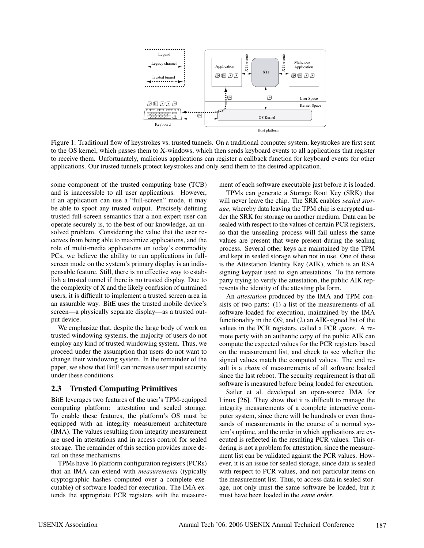

Figure 1: Traditional flow of keystrokes vs. trusted tunnels. On a traditional computer system, keystrokes are first sent to the OS kernel, which passes them to X-windows, which then sends keyboard events to all applications that register to receive them. Unfortunately, malicious applications can register a callback function for keyboard events for other applications. Our trusted tunnels protect keystrokes and only send them to the desired application.

some component of the trusted computing base (TCB) and is inaccessible to all user applications. However, if an application can use a "full-screen" mode, it may be able to spoof any trusted output. Precisely defining trusted full-screen semantics that a non-expert user can operate securely is, to the best of our knowledge, an unsolved problem. Considering the value that the user receives from being able to maximize applications, and the role of multi-media applications on today's commodity PCs, we believe the ability to run applications in fullscreen mode on the system's primary display is an indispensable feature. Still, there is no effective way to establish a trusted tunnel if there is no trusted display. Due to the complexity of X and the likely confusion of untrained users, it is difficult to implement a trusted screen area in an assurable way. BitE uses the trusted mobile device's screen—a physically separate display—as a trusted output device.

We emphasize that, despite the large body of work on trusted windowing systems, the majority of users do not employ any kind of trusted windowing system. Thus, we proceed under the assumption that users do not want to change their windowing system. In the remainder of the paper, we show that BitE can increase user input security under these conditions.

### **2.3 Trusted Computing Primitives**

BitE leverages two features of the user's TPM-equipped computing platform: attestation and sealed storage. To enable these features, the platform's OS must be equipped with an integrity measurement architecture (IMA). The values resulting from integrity measurement are used in attestations and in access control for sealed storage. The remainder of this section provides more detail on these mechanisms.

TPMs have 16 platform configuration registers (PCRs) that an IMA can extend with *measurements* (typically cryptographic hashes computed over a complete executable) of software loaded for execution. The IMA extends the appropriate PCR registers with the measurement of each software executable just before it is loaded.

TPMs can generate a Storage Root Key (SRK) that will never leave the chip. The SRK enables *sealed storage*, whereby data leaving the TPM chip is encrypted under the SRK for storage on another medium. Data can be sealed with respect to the values of certain PCR registers, so that the unsealing process will fail unless the same values are present that were present during the sealing process. Several other keys are maintained by the TPM and kept in sealed storage when not in use. One of these is the Attestation Identity Key (AIK), which is an RSA signing keypair used to sign attestations. To the remote party trying to verify the attestation, the public AIK represents the identity of the attesting platform.

An *attestation* produced by the IMA and TPM consists of two parts: (1) a list of the measurements of all software loaded for execution, maintained by the IMA functionality in the OS; and (2) an AIK-signed list of the values in the PCR registers, called a PCR *quote*. A remote party with an authentic copy of the public AIK can compute the expected values for the PCR registers based on the measurement list, and check to see whether the signed values match the computed values. The end result is a *chain* of measurements of all software loaded since the last reboot. The security requirement is that all software is measured before being loaded for execution.

Sailer et al. developed an open-source IMA for Linux [26]. They show that it is difficult to manage the integrity measurements of a complete interactive computer system, since there will be hundreds or even thousands of measurements in the course of a normal system's uptime, and the order in which applications are executed is reflected in the resulting PCR values. This ordering is not a problem for attestation, since the measurement list can be validated against the PCR values. However, it is an issue for sealed storage, since data is sealed with respect to PCR values, and not particular items on the measurement list. Thus, to access data in sealed storage, not only must the same software be loaded, but it must have been loaded in the *same order*.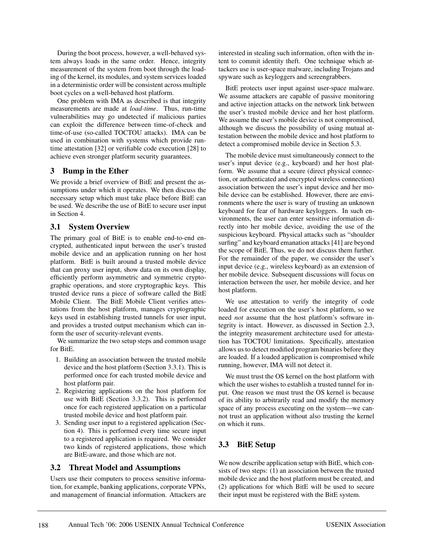During the boot process, however, a well-behaved system always loads in the same order. Hence, integrity measurement of the system from boot through the loading of the kernel, its modules, and system services loaded in a deterministic order will be consistent across multiple boot cycles on a well-behaved host platform.

One problem with IMA as described is that integrity measurements are made at *load-time*. Thus, run-time vulnerabilities may go undetected if malicious parties can exploit the difference between time-of-check and time-of-use (so-called TOCTOU attacks). IMA can be used in combination with systems which provide runtime attestation [32] or verifiable code execution [28] to achieve even stronger platform security guarantees.

#### **3 Bump in the Ether**

We provide a brief overview of BitE and present the assumptions under which it operates. We then discuss the necessary setup which must take place before BitE can be used. We describe the use of BitE to secure user input in Section 4.

### **3.1 System Overview**

The primary goal of BitE is to enable end-to-end encrypted, authenticated input between the user's trusted mobile device and an application running on her host platform. BitE is built around a trusted mobile device that can proxy user input, show data on its own display, efficiently perform asymmetric and symmetric cryptographic operations, and store cryptographic keys. This trusted device runs a piece of software called the BitE Mobile Client. The BitE Mobile Client verifies attestations from the host platform, manages cryptographic keys used in establishing trusted tunnels for user input, and provides a trusted output mechanism which can inform the user of security-relevant events.

We summarize the two setup steps and common usage for BitE.

- 1. Building an association between the trusted mobile device and the host platform (Section 3.3.1). This is performed once for each trusted mobile device and host platform pair.
- 2. Registering applications on the host platform for use with BitE (Section 3.3.2). This is performed once for each registered application on a particular trusted mobile device and host platform pair.
- 3. Sending user input to a registered application (Section 4). This is performed every time secure input to a registered application is required. We consider two kinds of registered applications, those which are BitE-aware, and those which are not.

#### **3.2 Threat Model and Assumptions**

Users use their computers to process sensitive information, for example, banking applications, corporate VPNs, and management of financial information. Attackers are

interested in stealing such information, often with the intent to commit identity theft. One technique which attackers use is user-space malware, including Trojans and spyware such as keyloggers and screengrabbers.

BitE protects user input against user-space malware. We assume attackers are capable of passive monitoring and active injection attacks on the network link between the user's trusted mobile device and her host platform. We assume the user's mobile device is not compromised, although we discuss the possibility of using mutual attestation between the mobile device and host platform to detect a compromised mobile device in Section 5.3.

The mobile device must simultaneously connect to the user's input device (e.g., keyboard) and her host platform. We assume that a secure (direct physical connection, or authenticated and encrypted wireless connection) association between the user's input device and her mobile device can be established. However, there are environments where the user is wary of trusting an unknown keyboard for fear of hardware keyloggers. In such environments, the user can enter sensitive information directly into her mobile device, avoiding the use of the suspicious keyboard. Physical attacks such as "shoulder surfing" and keyboard emanation attacks [41] are beyond the scope of BitE. Thus, we do not discuss them further. For the remainder of the paper, we consider the user's input device (e.g., wireless keyboard) as an extension of her mobile device. Subsequent discussions will focus on interaction between the user, her mobile device, and her host platform.

We use attestation to verify the integrity of code loaded for execution on the user's host platform, so we need *not* assume that the host platform's software integrity is intact. However, as discussed in Section 2.3, the integrity measurement architecture used for attestation has TOCTOU limitations. Specifically, attestation allows us to detect modified program binaries before they are loaded. If a loaded application is compromised while running, however, IMA will not detect it.

We must trust the OS kernel on the host platform with which the user wishes to establish a trusted tunnel for input. One reason we must trust the OS kernel is because of its ability to arbitrarily read and modify the memory space of any process executing on the system—we cannot trust an application without also trusting the kernel on which it runs.

# **3.3 BitE Setup**

We now describe application setup with BitE, which consists of two steps: (1) an association between the trusted mobile device and the host platform must be created, and (2) applications for which BitE will be used to secure their input must be registered with the BitE system.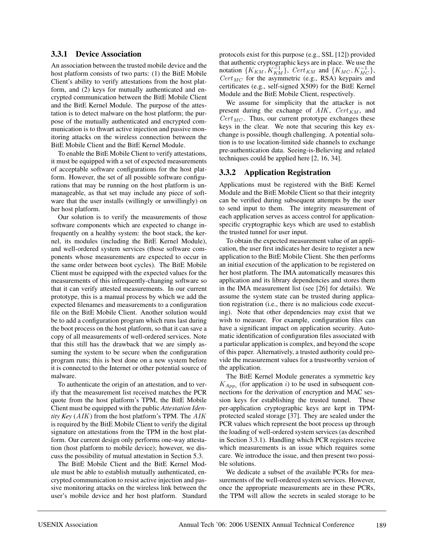#### **3.3.1 Device Association**

An association between the trusted mobile device and the host platform consists of two parts: (1) the BitE Mobile Client's ability to verify attestations from the host platform, and (2) keys for mutually authenticated and encrypted communication between the BitE Mobile Client and the BitE Kernel Module. The purpose of the attestation is to detect malware on the host platform; the purpose of the mutually authenticated and encrypted communication is to thwart active injection and passive monitoring attacks on the wireless connection between the BitE Mobile Client and the BitE Kernel Module.

To enable the BitE Mobile Client to verify attestations, it must be equipped with a set of expected measurements of acceptable software configurations for the host platform. However, the set of all possible software configurations that may be running on the host platform is unmanageable, as that set may include any piece of software that the user installs (willingly or unwillingly) on her host platform.

Our solution is to verify the measurements of those software components which are expected to change infrequently on a healthy system: the boot stack, the kernel, its modules (including the BitE Kernel Module), and well-ordered system services (those software components whose measurements are expected to occur in the same order between boot cycles). The BitE Mobile Client must be equipped with the expected values for the measurements of this infrequently-changing software so that it can verify attested measurements. In our current prototype, this is a manual process by which we add the expected filenames and measurements to a configuration file on the BitE Mobile Client. Another solution would be to add a configuration program which runs last during the boot process on the host platform, so that it can save a copy of all measurements of well-ordered services. Note that this still has the drawback that we are simply assuming the system to be secure when the configuration program runs; this is best done on a new system before it is connected to the Internet or other potential source of malware.

To authenticate the origin of an attestation, and to verify that the measurement list received matches the PCR quote from the host platform's TPM, the BitE Mobile Client must be equipped with the public *Attestation Identity Key* (AIK) from the host platform's TPM. The AIK is required by the BitE Mobile Client to verify the digital signature on attestations from the TPM in the host platform. Our current design only performs one-way attestation (host platform to mobile device); however, we discuss the possibility of mutual attestation in Section 5.3.

The BitE Mobile Client and the BitE Kernel Module must be able to establish mutually authenticated, encrypted communication to resist active injection and passive monitoring attacks on the wireless link between the user's mobile device and her host platform. Standard protocols exist for this purpose (e.g., SSL [12]) provided that authentic cryptographic keys are in place. We use the notation  $\{K_{KM}, K_{KM}^{-1}\}\$ ,  $Cert_{KM}$  and  $\{K_{MC}, K_{MC}^{-1}\}$ ,  $Cert_{MC}$  for the asymmetric (e.g., RSA) keypairs and certificates (e.g., self-signed X509) for the BitE Kernel Module and the BitE Mobile Client, respectively.

We assume for simplicity that the attacker is not present during the exchange of  $AIK$ ,  $Cert_{KM}$ , and  $Cert_{MC}$ . Thus, our current prototype exchanges these keys in the clear. We note that securing this key exchange is possible, though challenging. A potential solution is to use location-limited side channels to exchange pre-authentication data. Seeing-is-Believing and related techniques could be applied here [2, 16, 34].

#### **3.3.2 Application Registration**

Applications must be registered with the BitE Kernel Module and the BitE Mobile Client so that their integrity can be verified during subsequent attempts by the user to send input to them. The integrity measurement of each application serves as access control for applicationspecific cryptographic keys which are used to establish the trusted tunnel for user input.

To obtain the expected measurement value of an application, the user first indicates her desire to register a new application to the BitE Mobile Client. She then performs an initial execution of the application to be registered on her host platform. The IMA automatically measures this application and its library dependencies and stores them in the IMA measurement list (see [26] for details). We assume the system state can be trusted during application registration (i.e., there is no malicious code executing). Note that other dependencies may exist that we wish to measure. For example, configuration files can have a significant impact on application security. Automatic identification of configuration files associated with a particular application is complex, and beyond the scope of this paper. Alternatively, a trusted authority could provide the measurement values for a trustworthy version of the application.

The BitE Kernel Module generates a symmetric key  $K_{App_i}$  (for application i) to be used in subsequent connections for the derivation of encryption and MAC session keys for establishing the trusted tunnel. These per-application cryptographic keys are kept in TPMprotected sealed storage [37]. They are sealed under the PCR values which represent the boot process up through the loading of well-ordered system services (as described in Section 3.3.1). Handling which PCR registers receive which measurements is an issue which requires some care. We introduce the issue, and then present two possible solutions.

We dedicate a subset of the available PCRs for measurements of the well-ordered system services. However, once the appropriate measurements are in these PCRs, the TPM will allow the secrets in sealed storage to be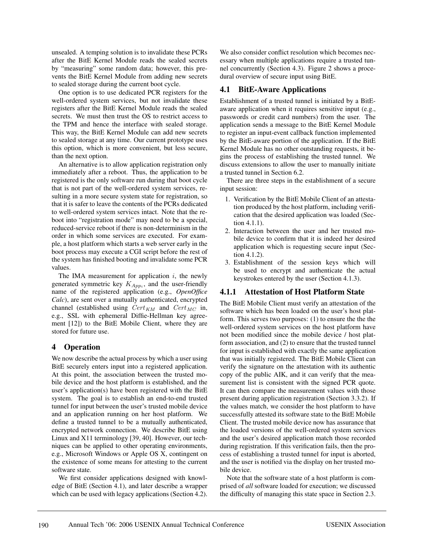unsealed. A temping solution is to invalidate these PCRs after the BitE Kernel Module reads the sealed secrets by "measuring" some random data; however, this prevents the BitE Kernel Module from adding new secrets to sealed storage during the current boot cycle.

One option is to use dedicated PCR registers for the well-ordered system services, but not invalidate these registers after the BitE Kernel Module reads the sealed secrets. We must then trust the OS to restrict access to the TPM and hence the interface with sealed storage. This way, the BitE Kernel Module can add new secrets to sealed storage at any time. Our current prototype uses this option, which is more convenient, but less secure, than the next option.

An alternative is to allow application registration only immediately after a reboot. Thus, the application to be registered is the only software run during that boot cycle that is not part of the well-ordered system services, resulting in a more secure system state for registration, so that it is safer to leave the contents of the PCRs dedicated to well-ordered system services intact. Note that the reboot into "registration mode" may need to be a special, reduced-service reboot if there is non-determinism in the order in which some services are executed. For example, a host platform which starts a web server early in the boot process may execute a CGI script before the rest of the system has finished booting and invalidate some PCR values.

The IMA measurement for application  $i$ , the newly generated symmetric key  $K_{Appi}$ , and the user-friendly name of the registered application (e.g., *OpenOffice Calc*), are sent over a mutually authenticated, encrypted channel (established using  $Cert_{KM}$  and  $Cert_{MC}$  in, e.g., SSL with ephemeral Diffie-Hellman key agreement [12]) to the BitE Mobile Client, where they are stored for future use.

### **4 Operation**

We now describe the actual process by which a user using BitE securely enters input into a registered application. At this point, the association between the trusted mobile device and the host platform is established, and the user's application(s) have been registered with the BitE system. The goal is to establish an end-to-end trusted tunnel for input between the user's trusted mobile device and an application running on her host platform. We define a trusted tunnel to be a mutually authenticated, encrypted network connection. We describe BitE using Linux and X11 terminology [39, 40]. However, our techniques can be applied to other operating environments, e.g., Microsoft Windows or Apple OS X, contingent on the existence of some means for attesting to the current software state.

We first consider applications designed with knowledge of BitE (Section 4.1), and later describe a wrapper which can be used with legacy applications (Section 4.2).

We also consider conflict resolution which becomes necessary when multiple applications require a trusted tunnel concurrently (Section 4.3). Figure 2 shows a procedural overview of secure input using BitE.

### **4.1 BitE-Aware Applications**

Establishment of a trusted tunnel is initiated by a BitEaware application when it requires sensitive input (e.g., passwords or credit card numbers) from the user. The application sends a message to the BitE Kernel Module to register an input-event callback function implemented by the BitE-aware portion of the application. If the BitE Kernel Module has no other outstanding requests, it begins the process of establishing the trusted tunnel. We discuss extensions to allow the user to manually initiate a trusted tunnel in Section 6.2.

There are three steps in the establishment of a secure input session:

- 1. Verification by the BitE Mobile Client of an attestation produced by the host platform, including verification that the desired application was loaded (Section 4.1.1).
- 2. Interaction between the user and her trusted mobile device to confirm that it is indeed her desired application which is requesting secure input (Section 4.1.2).
- 3. Establishment of the session keys which will be used to encrypt and authenticate the actual keystrokes entered by the user (Section 4.1.3).

### **4.1.1 Attestation of Host Platform State**

The BitE Mobile Client must verify an attestation of the software which has been loaded on the user's host platform. This serves two purposes: (1) to ensure the the the well-ordered system services on the host platform have not been modified since the mobile device / host platform association, and (2) to ensure that the trusted tunnel for input is established with exactly the same application that was initially registered. The BitE Mobile Client can verify the signature on the attestation with its authentic copy of the public AIK, and it can verify that the measurement list is consistent with the signed PCR quote. It can then compare the measurement values with those present during application registration (Section 3.3.2). If the values match, we consider the host platform to have successfully attested its software state to the BitE Mobile Client. The trusted mobile device now has assurance that the loaded versions of the well-ordered system services and the user's desired application match those recorded during registration. If this verification fails, then the process of establishing a trusted tunnel for input is aborted, and the user is notified via the display on her trusted mobile device.

Note that the software state of a host platform is comprised of *all* software loaded for execution; we discussed the difficulty of managing this state space in Section 2.3.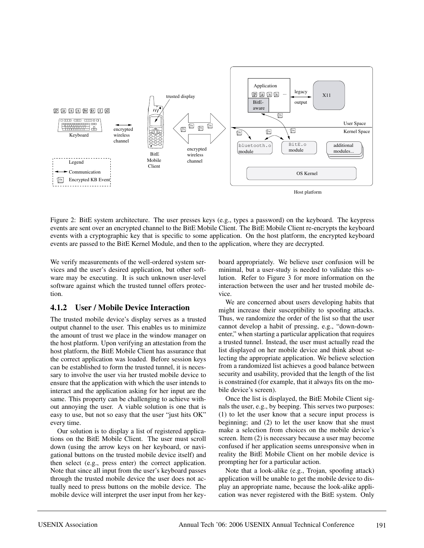

Figure 2: BitE system architecture. The user presses keys (e.g., types a password) on the keyboard. The keypress events are sent over an encrypted channel to the BitE Mobile Client. The BitE Mobile Client re-encrypts the keyboard events with a cryptographic key that is specific to some application. On the host platform, the encrypted keyboard events are passed to the BitE Kernel Module, and then to the application, where they are decrypted.

We verify measurements of the well-ordered system services and the user's desired application, but other software may be executing. It is such unknown user-level software against which the trusted tunnel offers protection.

#### **4.1.2 User / Mobile Device Interaction**

The trusted mobile device's display serves as a trusted output channel to the user. This enables us to minimize the amount of trust we place in the window manager on the host platform. Upon verifying an attestation from the host platform, the BitE Mobile Client has assurance that the correct application was loaded. Before session keys can be established to form the trusted tunnel, it is necessary to involve the user via her trusted mobile device to ensure that the application with which the user intends to interact and the application asking for her input are the same. This property can be challenging to achieve without annoying the user. A viable solution is one that is easy to use, but not so easy that the user "just hits OK" every time.

Our solution is to display a list of registered applications on the BitE Mobile Client. The user must scroll down (using the arrow keys on her keyboard, or navigational buttons on the trusted mobile device itself) and then select (e.g., press enter) the correct application. Note that since all input from the user's keyboard passes through the trusted mobile device the user does not actually need to press buttons on the mobile device. The mobile device will interpret the user input from her keyboard appropriately. We believe user confusion will be minimal, but a user-study is needed to validate this solution. Refer to Figure 3 for more information on the interaction between the user and her trusted mobile device.

We are concerned about users developing habits that might increase their susceptibility to spoofing attacks. Thus, we randomize the order of the list so that the user cannot develop a habit of pressing, e.g., "down-downenter," when starting a particular application that requires a trusted tunnel. Instead, the user must actually read the list displayed on her mobile device and think about selecting the appropriate application. We believe selection from a randomized list achieves a good balance between security and usability, provided that the length of the list is constrained (for example, that it always fits on the mobile device's screen).

Once the list is displayed, the BitE Mobile Client signals the user, e.g., by beeping. This serves two purposes: (1) to let the user know that a secure input process is beginning; and (2) to let the user know that she must make a selection from choices on the mobile device's screen. Item (2) is necessary because a user may become confused if her application seems unresponsive when in reality the BitE Mobile Client on her mobile device is prompting her for a particular action.

Note that a look-alike (e.g., Trojan, spoofing attack) application will be unable to get the mobile device to display an appropriate name, because the look-alike application was never registered with the BitE system. Only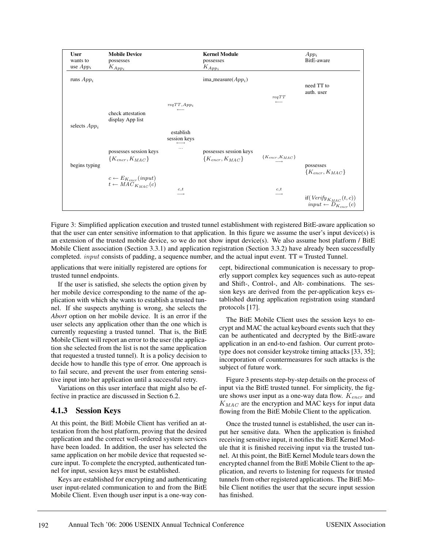

Figure 3: Simplified application execution and trusted tunnel establishment with registered BitE-aware application so that the user can enter sensitive information to that application. In this figure we assume the user's input device(s) is an extension of the trusted mobile device, so we do not show input device(s). We also assume host platform / BitE Mobile Client association (Section 3.3.1) and application registration (Section 3.3.2) have already been successfully completed. *input* consists of padding, a sequence number, and the actual input event.  $TT = Trusted$  Tunnel.

applications that were initially registered are options for trusted tunnel endpoints.

If the user is satisfied, she selects the option given by her mobile device corresponding to the name of the application with which she wants to establish a trusted tunnel. If she suspects anything is wrong, she selects the *Abort* option on her mobile device. It is an error if the user selects any application other than the one which is currently requesting a trusted tunnel. That is, the BitE Mobile Client will report an error to the user (the application she selected from the list is not the same application that requested a trusted tunnel). It is a policy decision to decide how to handle this type of error. One approach is to fail secure, and prevent the user from entering sensitive input into her application until a successful retry.

Variations on this user interface that might also be effective in practice are discussed in Section 6.2.

#### **4.1.3 Session Keys**

At this point, the BitE Mobile Client has verified an attestation from the host platform, proving that the desired application and the correct well-ordered system services have been loaded. In addition, the user has selected the same application on her mobile device that requested secure input. To complete the encrypted, authenticated tunnel for input, session keys must be established.

Keys are established for encrypting and authenticating user input-related communication to and from the BitE Mobile Client. Even though user input is a one-way concept, bidirectional communication is necessary to properly support complex key sequences such as auto-repeat and Shift-, Control-, and Alt- combinations. The session keys are derived from the per-application keys established during application registration using standard protocols [17].

The BitE Mobile Client uses the session keys to encrypt and MAC the actual keyboard events such that they can be authenticated and decrypted by the BitE-aware application in an end-to-end fashion. Our current prototype does not consider keystroke timing attacks [33, 35]; incorporation of countermeasures for such attacks is the subject of future work.

Figure 3 presents step-by-step details on the process of input via the BitE trusted tunnel. For simplicity, the figure shows user input as a one-way data flow.  $K_{\text{encr}}$  and  $K_{MAC}$  are the encryption and MAC keys for input data flowing from the BitE Mobile Client to the application.

Once the trusted tunnel is established, the user can input her sensitive data. When the application is finished receiving sensitive input, it notifies the BitE Kernel Module that it is finished receiving input via the trusted tunnel. At this point, the BitE Kernel Module tears down the encrypted channel from the BitE Mobile Client to the application, and reverts to listening for requests for trusted tunnels from other registered applications. The BitE Mobile Client notifies the user that the secure input session has finished.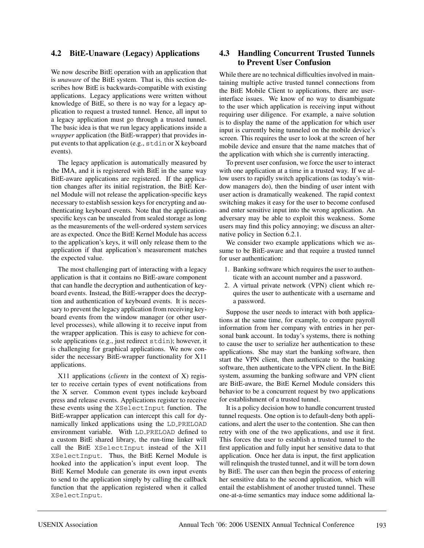#### **4.2 BitE-Unaware (Legacy) Applications**

We now describe BitE operation with an application that is *unaware* of the BitE system. That is, this section describes how BitE is backwards-compatible with existing applications. Legacy applications were written without knowledge of BitE, so there is no way for a legacy application to request a trusted tunnel. Hence, all input to a legacy application must go through a trusted tunnel. The basic idea is that we run legacy applications inside a *wrapper* application (the BitE-wrapper) that provides input events to that application (e.g., stdin or X keyboard events).

The legacy application is automatically measured by the IMA, and it is registered with BitE in the same way BitE-aware applications are registered. If the application changes after its initial registration, the BitE Kernel Module will not release the application-specific keys necessary to establish session keys for encrypting and authenticating keyboard events. Note that the applicationspecific keys can be unsealed from sealed storage as long as the measurements of the well-ordered system services are as expected. Once the BitE Kernel Module has access to the application's keys, it will only release them to the application if that application's measurement matches the expected value.

The most challenging part of interacting with a legacy application is that it contains no BitE-aware component that can handle the decryption and authentication of keyboard events. Instead, the BitE-wrapper does the decryption and authentication of keyboard events. It is necessary to prevent the legacy application from receiving keyboard events from the window manager (or other userlevel processes), while allowing it to receive input from the wrapper application. This is easy to achieve for console applications (e.g., just redirect stdin); however, it is challenging for graphical applications. We now consider the necessary BitE-wrapper functionality for X11 applications.

X11 applications (*clients* in the context of X) register to receive certain types of event notifications from the X server. Common event types include keyboard press and release events. Applications register to receive these events using the XSelectInput function. The BitE-wrapper application can intercept this call for dynamically linked applications using the LD PRELOAD environment variable. With LD PRELOAD defined to a custom BitE shared library, the run-time linker will call the BitE XSelectInput instead of the X11 XSelectInput. Thus, the BitE Kernel Module is hooked into the application's input event loop. The BitE Kernel Module can generate its own input events to send to the application simply by calling the callback function that the application registered when it called XSelectInput.

#### **4.3 Handling Concurrent Trusted Tunnels to Prevent User Confusion**

While there are no technical difficulties involved in maintaining multiple active trusted tunnel connections from the BitE Mobile Client to applications, there are userinterface issues. We know of no way to disambiguate to the user which application is receiving input without requiring user diligence. For example, a naive solution is to display the name of the application for which user input is currently being tunneled on the mobile device's screen. This requires the user to look at the screen of her mobile device and ensure that the name matches that of the application with which she is currently interacting.

To prevent user confusion, we force the user to interact with one application at a time in a trusted way. If we allow users to rapidly switch applications (as today's window managers do), then the binding of user intent with user action is dramatically weakened. The rapid context switching makes it easy for the user to become confused and enter sensitive input into the wrong application. An adversary may be able to exploit this weakness. Some users may find this policy annoying; we discuss an alternative policy in Section 6.2.1.

We consider two example applications which we assume to be BitE-aware and that require a trusted tunnel for user authentication:

- 1. Banking software which requires the user to authenticate with an account number and a password.
- 2. A virtual private network (VPN) client which requires the user to authenticate with a username and a password.

Suppose the user needs to interact with both applications at the same time, for example, to compare payroll information from her company with entries in her personal bank account. In today's systems, there is nothing to cause the user to serialize her authentication to these applications. She may start the banking software, then start the VPN client, then authenticate to the banking software, then authenticate to the VPN client. In the BitE system, assuming the banking software and VPN client are BitE-aware, the BitE Kernel Module considers this behavior to be a concurrent request by two applications for establishment of a trusted tunnel.

It is a policy decision how to handle concurrent trusted tunnel requests. One option is to default-deny both applications, and alert the user to the contention. She can then retry with one of the two applications, and use it first. This forces the user to establish a trusted tunnel to the first application and fully input her sensitive data to that application. Once her data is input, the first application will relinquish the trusted tunnel, and it will be torn down by BitE. The user can then begin the process of entering her sensitive data to the second application, which will entail the establishment of another trusted tunnel. These one-at-a-time semantics may induce some additional la-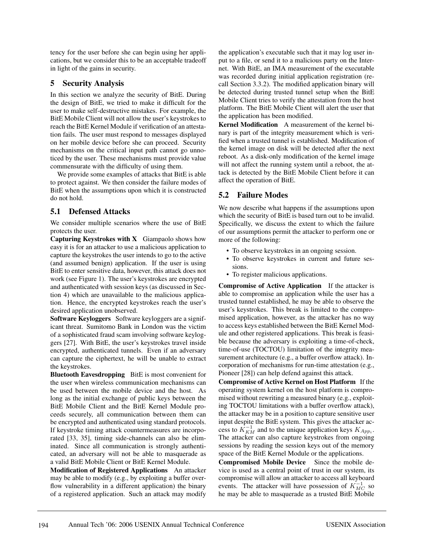tency for the user before she can begin using her applications, but we consider this to be an acceptable tradeoff in light of the gains in security.

### **5 Security Analysis**

In this section we analyze the security of BitE. During the design of BitE, we tried to make it difficult for the user to make self-destructive mistakes. For example, the BitE Mobile Client will not allow the user's keystrokes to reach the BitE Kernel Module if verification of an attestation fails. The user must respond to messages displayed on her mobile device before she can proceed. Security mechanisms on the critical input path cannot go unnoticed by the user. These mechanisms must provide value commensurate with the difficulty of using them.

We provide some examples of attacks that BitE is able to protect against. We then consider the failure modes of BitE when the assumptions upon which it is constructed do not hold.

### **5.1 Defensed Attacks**

We consider multiple scenarios where the use of BitE protects the user.

**Capturing Keystrokes with X** Giampaolo shows how easy it is for an attacker to use a malicious application to capture the keystrokes the user intends to go to the active (and assumed benign) application. If the user is using BitE to enter sensitive data, however, this attack does not work (see Figure 1). The user's keystrokes are encrypted and authenticated with session keys (as discussed in Section 4) which are unavailable to the malicious application. Hence, the encrypted keystrokes reach the user's desired application unobserved.

**Software Keyloggers** Software keyloggers are a significant threat. Sumitomo Bank in London was the victim of a sophisticated fraud scam involving software keyloggers [27]. With BitE, the user's keystrokes travel inside encrypted, authenticated tunnels. Even if an adversary can capture the ciphertext, he will be unable to extract the keystrokes.

**Bluetooth Eavesdropping** BitE is most convenient for the user when wireless communication mechanisms can be used between the mobile device and the host. As long as the initial exchange of public keys between the BitE Mobile Client and the BitE Kernel Module proceeds securely, all communication between them can be encrypted and authenticated using standard protocols. If keystroke timing attack countermeasures are incorporated [33, 35], timing side-channels can also be eliminated. Since all communication is strongly authenticated, an adversary will not be able to masquerade as a valid BitE Mobile Client or BitE Kernel Module.

**Modification of Registered Applications** An attacker may be able to modify (e.g., by exploiting a buffer overflow vulnerability in a different application) the binary of a registered application. Such an attack may modify

the application's executable such that it may log user input to a file, or send it to a malicious party on the Internet. With BitE, an IMA measurement of the executable was recorded during initial application registration (recall Section 3.3.2). The modified application binary will be detected during trusted tunnel setup when the BitE Mobile Client tries to verify the attestation from the host platform. The BitE Mobile Client will alert the user that the application has been modified.

**Kernel Modification** A measurement of the kernel binary is part of the integrity measurement which is verified when a trusted tunnel is established. Modification of the kernel image on disk will be detected after the next reboot. As a disk-only modification of the kernel image will not affect the running system until a reboot, the attack is detected by the BitE Mobile Client before it can affect the operation of BitE.

### **5.2 Failure Modes**

We now describe what happens if the assumptions upon which the security of BitE is based turn out to be invalid. Specifically, we discuss the extent to which the failure of our assumptions permit the attacker to perform one or more of the following:

- To observe keystrokes in an ongoing session.
- To observe keystrokes in current and future sessions.
- To register malicious applications.

**Compromise of Active Application** If the attacker is able to compromise an application while the user has a trusted tunnel established, he may be able to observe the user's keystrokes. This break is limited to the compromised application, however, as the attacker has no way to access keys established between the BitE Kernel Module and other registered applications. This break is feasible because the adversary is exploiting a time-of-check, time-of-use (TOCTOU) limitation of the integrity measurement architecture (e.g., a buffer overflow attack). Incorporation of mechanisms for run-time attestation (e.g., Pioneer [28]) can help defend against this attack.

**Compromise of Active Kernel on Host Platform** If the operating system kernel on the host platform is compromised without rewriting a measured binary (e.g., exploiting TOCTOU limitations with a buffer overflow attack), the attacker may be in a position to capture sensitive user input despite the BitE system. This gives the attacker access to  $K_{KM}^{-1}$  and to the unique application keys  $K_{App_i}$ . The attacker can also capture keystrokes from ongoing sessions by reading the session keys out of the memory space of the BitE Kernel Module or the applications.

**Compromised Mobile Device** Since the mobile device is used as a central point of trust in our system, its compromise will allow an attacker to access all keyboard events. The attacker will have possession of  $K_{MC}^{-1}$  so he may be able to masquerade as a trusted BitE Mobile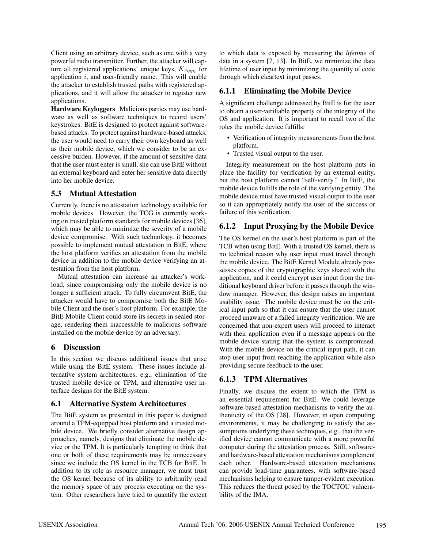Client using an arbitrary device, such as one with a very powerful radio transmitter. Further, the attacker will capture all registered applications' unique keys,  $K_{Anni}$  for application  $i$ , and user-friendly name. This will enable the attacker to establish trusted paths with registered applications, and it will allow the attacker to register new applications.

**Hardware Keyloggers** Malicious parties may use hardware as well as software techniques to record users' keystrokes. BitE is designed to protect against softwarebased attacks. To protect against hardware-based attacks, the user would need to carry their own keyboard as well as their mobile device, which we consider to be an excessive burden. However, if the amount of sensitive data that the user must enter is small, she can use BitE without an external keyboard and enter her sensitive data directly into her mobile device.

### **5.3 Mutual Attestation**

Currently, there is no attestation technology available for mobile devices. However, the TCG is currently working on trusted platform standards for mobile devices [36], which may be able to minimize the severity of a mobile device compromise. With such technology, it becomes possible to implement mutual attestation in BitE, where the host platform verifies an attestation from the mobile device in addition to the mobile device verifying an attestation from the host platform.

Mutual attestation can increase an attacker's workload, since compromising only the mobile device is no longer a sufficient attack. To fully circumvent BitE, the attacker would have to compromise both the BitE Mobile Client and the user's host platform. For example, the BitE Mobile Client could store its secrets in sealed storage, rendering them inaccessible to malicious software installed on the mobile device by an adversary.

#### **6 Discussion**

In this section we discuss additional issues that arise while using the BitE system. These issues include alternative system architectures, e.g., elimination of the trusted mobile device or TPM, and alternative user interface designs for the BitE system.

### **6.1 Alternative System Architectures**

The BitE system as presented in this paper is designed around a TPM-equipped host platform and a trusted mobile device. We briefly consider alternative design approaches, namely, designs that eliminate the mobile device or the TPM. It is particularly tempting to think that one or both of these requirements may be unnecessary since we include the OS kernel in the TCB for BitE. In addition to its role as resource manager, we must trust the OS kernel because of its ability to arbitrarily read the memory space of any process executing on the system. Other researchers have tried to quantify the extent

to which data is exposed by measuring the *lifetime* of data in a system [7, 13]. In BitE, we minimize the data lifetime of user input by minimizing the quantity of code through which cleartext input passes.

### **6.1.1 Eliminating the Mobile Device**

A significant challenge addressed by BitE is for the user to obtain a user-verifiable property of the integrity of the OS and application. It is important to recall two of the roles the mobile device fulfills:

- Verification of integrity measurements from the host platform.
- Trusted visual output to the user.

Integrity measurement on the host platform puts in place the facility for verification by an external entity, but the host platform cannot "self-verify." In BitE, the mobile device fulfills the role of the verifying entity. The mobile device must have trusted visual output to the user so it can appropriately notify the user of the success or failure of this verification.

# **6.1.2 Input Proxying by the Mobile Device**

The OS kernel on the user's host platform is part of the TCB when using BitE. With a trusted OS kernel, there is no technical reason why user input must travel through the mobile device. The BitE Kernel Module already possesses copies of the cryptographic keys shared with the application, and it could encrypt user input from the traditional keyboard driver before it passes through the window manager. However, this design raises an important usability issue. The mobile device must be on the critical input path so that it can ensure that the user cannot proceed unaware of a failed integrity verification. We are concerned that non-expert users will proceed to interact with their application even if a message appears on the mobile device stating that the system is compromised. With the mobile device on the critical input path, it can stop user input from reaching the application while also providing secure feedback to the user.

### **6.1.3 TPM Alternatives**

Finally, we discuss the extent to which the TPM is an essential requirement for BitE. We could leverage software-based attestation mechanisms to verify the authenticity of the OS [28]. However, in open computing environments, it may be challenging to satisfy the assumptions underlying these techniques, e.g., that the verified device cannot communicate with a more powerful computer during the attestation process. Still, softwareand hardware-based attestation mechanisms complement each other. Hardware-based attestation mechanisms can provide load-time guarantees, with software-based mechanisms helping to ensure tamper-evident execution. This reduces the threat posed by the TOCTOU vulnerability of the IMA.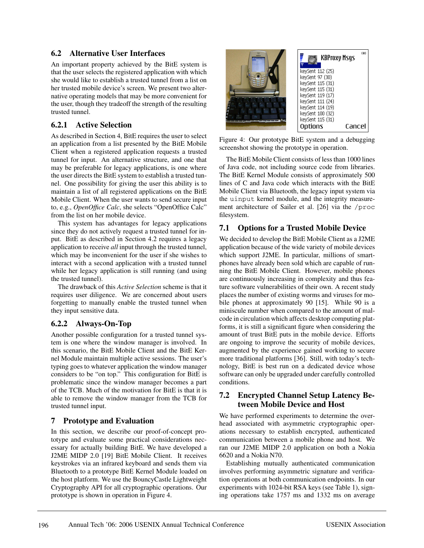#### **6.2 Alternative User Interfaces**

An important property achieved by the BitE system is that the user selects the registered application with which she would like to establish a trusted tunnel from a list on her trusted mobile device's screen. We present two alternative operating models that may be more convenient for the user, though they tradeoff the strength of the resulting trusted tunnel.

### **6.2.1 Active Selection**

As described in Section 4, BitE requires the user to select an application from a list presented by the BitE Mobile Client when a registered application requests a trusted tunnel for input. An alternative structure, and one that may be preferable for legacy applications, is one where the user directs the BitE system to establish a trusted tunnel. One possibility for giving the user this ability is to maintain a list of all registered applications on the BitE Mobile Client. When the user wants to send secure input to, e.g., *OpenOffice Calc*, she selects "OpenOffice Calc" from the list on her mobile device.

This system has advantages for legacy applications since they do not actively request a trusted tunnel for input. BitE as described in Section 4.2 requires a legacy application to receive *all* input through the trusted tunnel, which may be inconvenient for the user if she wishes to interact with a second application with a trusted tunnel while her legacy application is still running (and using the trusted tunnel).

The drawback of this *Active Selection* scheme is that it requires user diligence. We are concerned about users forgetting to manually enable the trusted tunnel when they input sensitive data.

#### **6.2.2 Always-On-Top**

Another possible configuration for a trusted tunnel system is one where the window manager is involved. In this scenario, the BitE Mobile Client and the BitE Kernel Module maintain multiple active sessions. The user's typing goes to whatever application the window manager considers to be "on top." This configuration for BitE is problematic since the window manager becomes a part of the TCB. Much of the motivation for BitE is that it is able to remove the window manager from the TCB for trusted tunnel input.

### **7 Prototype and Evaluation**

In this section, we describe our proof-of-concept prototype and evaluate some practical considerations necessary for actually building BitE. We have developed a J2ME MIDP 2.0 [19] BitE Mobile Client. It receives keystrokes via an infrared keyboard and sends them via Bluetooth to a prototype BitE Kernel Module loaded on the host platform. We use the BouncyCastle Lightweight Cryptography API for all cryptographic operations. Our prototype is shown in operation in Figure 4.



Figure 4: Our prototype BitE system and a debugging screenshot showing the prototype in operation.

The BitE Mobile Client consists of less than 1000 lines of Java code, not including source code from libraries. The BitE Kernel Module consists of approximately 500 lines of C and Java code which interacts with the BitE Mobile Client via Bluetooth, the legacy input system via the uinput kernel module, and the integrity measurement architecture of Sailer et al. [26] via the /proc filesystem.

### **7.1 Options for a Trusted Mobile Device**

We decided to develop the BitE Mobile Client as a J2ME application because of the wide variety of mobile devices which support J2ME. In particular, millions of smartphones have already been sold which are capable of running the BitE Mobile Client. However, mobile phones are continuously increasing in complexity and thus feature software vulnerabilities of their own. A recent study places the number of existing worms and viruses for mobile phones at approximately 90 [15]. While 90 is a miniscule number when compared to the amount of malcode in circulation which affects desktop computing platforms, it is still a significant figure when considering the amount of trust BitE puts in the mobile device. Efforts are ongoing to improve the security of mobile devices, augmented by the experience gained working to secure more traditional platforms [36]. Still, with today's technology, BitE is best run on a dedicated device whose software can only be upgraded under carefully controlled conditions.

#### **7.2 Encrypted Channel Setup Latency Between Mobile Device and Host**

We have performed experiments to determine the overhead associated with asymmetric cryptographic operations necessary to establish encrypted, authenticated communication between a mobile phone and host. We ran our J2ME MIDP 2.0 application on both a Nokia 6620 and a Nokia N70.

Establishing mutually authenticated communication involves performing asymmetric signature and verification operations at both communication endpoints. In our experiments with 1024-bit RSA keys (see Table 1), signing operations take 1757 ms and 1332 ms on average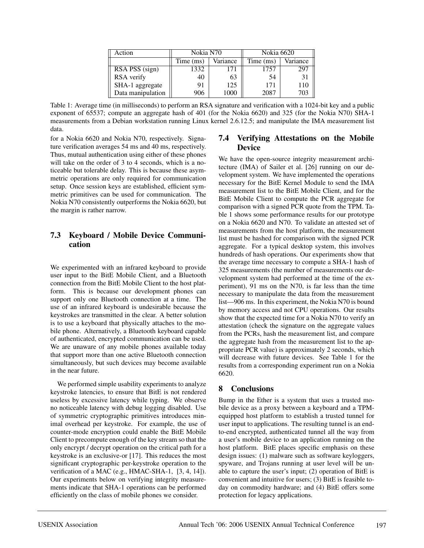| Action            | Nokia N70 |          | Nokia 6620 |          |
|-------------------|-----------|----------|------------|----------|
|                   | Time (ms) | Variance | Time (ms)  | Variance |
| RSA PSS (sign)    | 1332      | 171      | 1757       | 297      |
| RSA verify        | 40        | 03       | 54         |          |
| SHA-1 aggregate   | 91        | 125      | 171        | 110      |
| Data manipulation | 906       | 1000     | 2087       | 703      |

Table 1: Average time (in milliseconds) to perform an RSA signature and verification with a 1024-bit key and a public exponent of 65537; compute an aggregate hash of 401 (for the Nokia 6620) and 325 (for the Nokia N70) SHA-1 measurements from a Debian workstation running Linux kernel 2.6.12.5; and manipulate the IMA measurement list data.

for a Nokia 6620 and Nokia N70, respectively. Signature verification averages 54 ms and 40 ms, respectively. Thus, mutual authentication using either of these phones will take on the order of 3 to 4 seconds, which is a noticeable but tolerable delay. This is because these asymmetric operations are only required for communication setup. Once session keys are established, efficient symmetric primitives can be used for communication. The Nokia N70 consistently outperforms the Nokia 6620, but the margin is rather narrow.

#### **7.3 Keyboard / Mobile Device Communication**

We experimented with an infrared keyboard to provide user input to the BitE Mobile Client, and a Bluetooth connection from the BitE Mobile Client to the host platform. This is because our development phones can support only one Bluetooth connection at a time. The use of an infrared keyboard is undesirable because the keystrokes are transmitted in the clear. A better solution is to use a keyboard that physically attaches to the mobile phone. Alternatively, a Bluetooth keyboard capable of authenticated, encrypted communication can be used. We are unaware of any mobile phones available today that support more than one active Bluetooth connection simultaneously, but such devices may become available in the near future.

We performed simple usability experiments to analyze keystroke latencies, to ensure that BitE is not rendered useless by excessive latency while typing. We observe no noticeable latency with debug logging disabled. Use of symmetric cryptographic primitives introduces minimal overhead per keystroke. For example, the use of counter-mode encryption could enable the BitE Mobile Client to precompute enough of the key stream so that the only encrypt / decrypt operation on the critical path for a keystroke is an exclusive-or [17]. This reduces the most significant cryptographic per-keystroke operation to the verification of a MAC (e.g., HMAC-SHA-1, [3, 4, 14]). Our experiments below on verifying integrity measurements indicate that SHA-1 operations can be performed efficiently on the class of mobile phones we consider.

#### **7.4 Verifying Attestations on the Mobile Device**

We have the open-source integrity measurement architecture (IMA) of Sailer et al. [26] running on our development system. We have implemented the operations necessary for the BitE Kernel Module to send the IMA measurement list to the BitE Mobile Client, and for the BitE Mobile Client to compute the PCR aggregate for comparison with a signed PCR quote from the TPM. Table 1 shows some performance results for our prototype on a Nokia 6620 and N70. To validate an attested set of measurements from the host platform, the measurement list must be hashed for comparison with the signed PCR aggregate. For a typical desktop system, this involves hundreds of hash operations. Our experiments show that the average time necessary to compute a SHA-1 hash of 325 measurements (the number of measurements our development system had performed at the time of the experiment), 91 ms on the N70, is far less than the time necessary to manipulate the data from the measurement list—906 ms. In this experiment, the Nokia N70 is bound by memory access and not CPU operations. Our results show that the expected time for a Nokia N70 to verify an attestation (check the signature on the aggregate values from the PCRs, hash the measurement list, and compare the aggregate hash from the measurement list to the appropriate PCR value) is approximately 2 seconds, which will decrease with future devices. See Table 1 for the results from a corresponding experiment run on a Nokia 6620.

#### **8 Conclusions**

Bump in the Ether is a system that uses a trusted mobile device as a proxy between a keyboard and a TPMequipped host platform to establish a trusted tunnel for user input to applications. The resulting tunnel is an endto-end encrypted, authenticated tunnel all the way from a user's mobile device to an application running on the host platform. BitE places specific emphasis on these design issues: (1) malware such as software keyloggers, spyware, and Trojans running at user level will be unable to capture the user's input; (2) operation of BitE is convenient and intuitive for users; (3) BitE is feasible today on commodity hardware; and (4) BitE offers some protection for legacy applications.